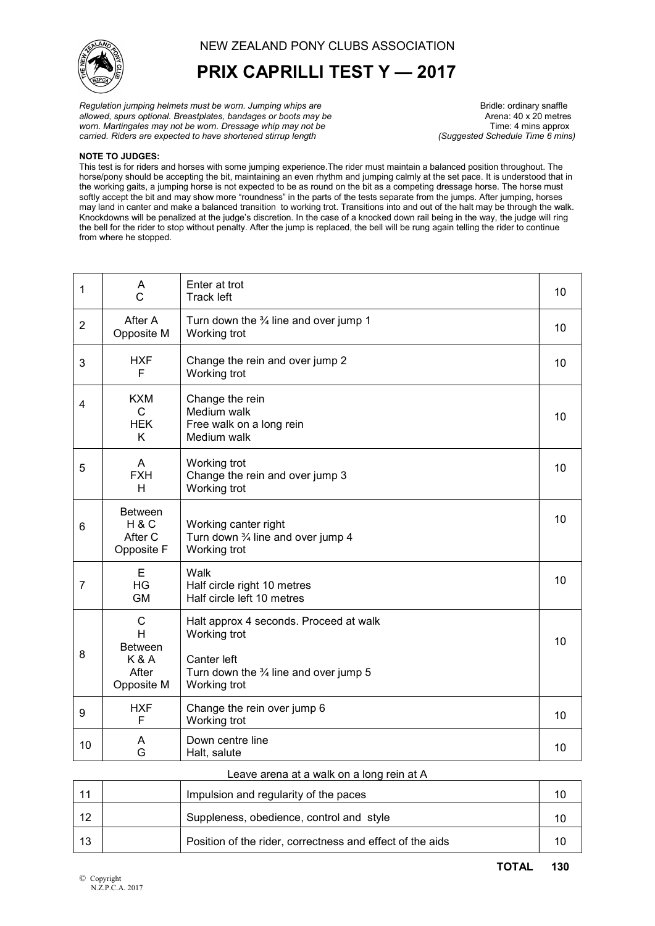

## PRIX CAPRILLI TEST Y — 2017

Regulation jumping helmets must be worn. Jumping whips are **Bridle:** Strainery snaffle<br>allowed, spurs optional. Breastplates, bandages or boots may be **Bridle:** Arena: 40 x 20 metres allowed, spurs optional. Breastplates, bandages or boots may be  $\blacksquare$  Arena: 40 x 20 metres worn. Martingales may not be worn. Dressage whip may not be worn. Martingales may not be worn. Dressage whip may not be <br>carried. Riders are expected to have shortened stirrup length (Suquested Schedule Time 6 mins) carried. Riders are expected to have shortened stirrup length

## NOTE TO JUDGES:

This test is for riders and horses with some jumping experience.The rider must maintain a balanced position throughout. The horse/pony should be accepting the bit, maintaining an even rhythm and jumping calmly at the set pace. It is understood that in the working gaits, a jumping horse is not expected to be as round on the bit as a competing dressage horse. The horse must softly accept the bit and may show more "roundness" in the parts of the tests separate from the jumps. After jumping, horses may land in canter and make a balanced transition to working trot. Transitions into and out of the halt may be through the walk. Knockdowns will be penalized at the judge's discretion. In the case of a knocked down rail being in the way, the judge will ring the bell for the rider to stop without penalty. After the jump is replaced, the bell will be rung again telling the rider to continue from where he stopped.

| 1              | A<br>C                                                            | Enter at trot<br><b>Track left</b>                                                                                                        |    |  |
|----------------|-------------------------------------------------------------------|-------------------------------------------------------------------------------------------------------------------------------------------|----|--|
| $\overline{2}$ | After A<br>Opposite M                                             | Turn down the $\frac{3}{4}$ line and over jump 1<br>Working trot                                                                          |    |  |
| 3              | <b>HXF</b><br>F                                                   | Change the rein and over jump 2<br>Working trot                                                                                           |    |  |
| 4              | <b>KXM</b><br>$\mathsf{C}$<br><b>HEK</b><br>K                     | Change the rein<br>Medium walk<br>Free walk on a long rein<br>Medium walk                                                                 |    |  |
| 5              | A<br><b>FXH</b><br>H                                              | Working trot<br>Change the rein and over jump 3<br>Working trot                                                                           |    |  |
| 6              | <b>Between</b><br>H&C<br>After C<br>Opposite F                    | Working canter right<br>Turn down 3⁄4 line and over jump 4<br>Working trot                                                                |    |  |
| $\overline{7}$ | E<br>HG<br><b>GM</b>                                              | Walk<br>Half circle right 10 metres<br>Half circle left 10 metres                                                                         |    |  |
| 8              | С<br>H<br><b>Between</b><br><b>K&amp;A</b><br>After<br>Opposite M | Halt approx 4 seconds. Proceed at walk<br>Working trot<br>Canter left<br>Turn down the $\frac{3}{4}$ line and over jump 5<br>Working trot |    |  |
| 9              | <b>HXF</b><br>F                                                   | Change the rein over jump 6<br>Working trot                                                                                               | 10 |  |
| 10             | A<br>G                                                            | Down centre line<br>Halt, salute                                                                                                          | 10 |  |

## Leave arena at a walk on a long rein at A

|    | Impulsion and regularity of the paces                     |  |
|----|-----------------------------------------------------------|--|
| 12 | Suppleness, obedience, control and style                  |  |
| 13 | Position of the rider, correctness and effect of the aids |  |
|    |                                                           |  |